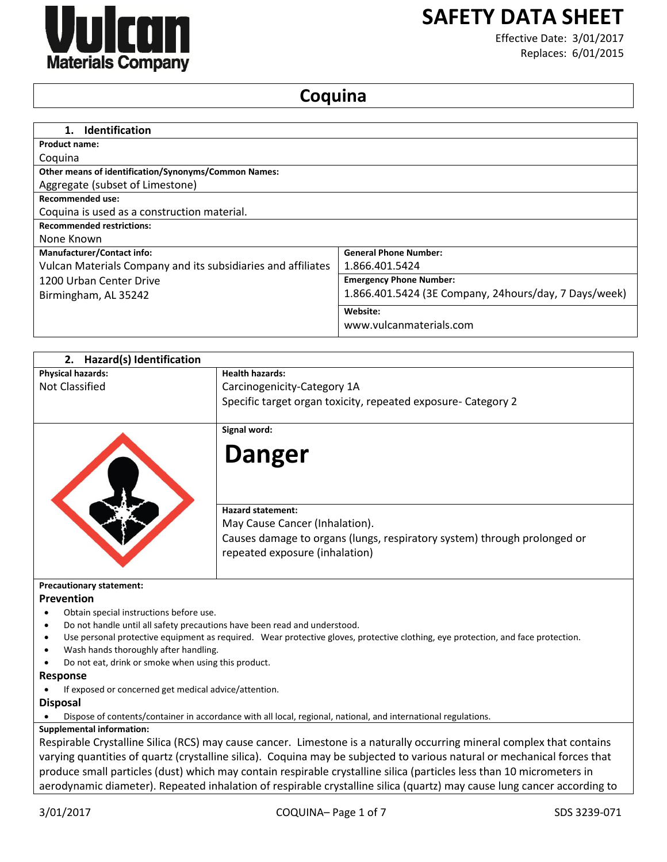

# **SAFETY DATA SHEET**

Effective Date: 3/01/2017 Replaces: 6/01/2015

# **Coquina**

| <b>Identification</b><br>1.                                  |                                                        |
|--------------------------------------------------------------|--------------------------------------------------------|
| <b>Product name:</b>                                         |                                                        |
| Coquina                                                      |                                                        |
| Other means of identification/Synonyms/Common Names:         |                                                        |
| Aggregate (subset of Limestone)                              |                                                        |
| <b>Recommended use:</b>                                      |                                                        |
| Coquina is used as a construction material.                  |                                                        |
| <b>Recommended restrictions:</b>                             |                                                        |
| None Known                                                   |                                                        |
| <b>Manufacturer/Contact info:</b>                            | <b>General Phone Number:</b>                           |
| Vulcan Materials Company and its subsidiaries and affiliates | 1.866.401.5424                                         |
| 1200 Urban Center Drive                                      | <b>Emergency Phone Number:</b>                         |
| Birmingham, AL 35242                                         | 1.866.401.5424 (3E Company, 24 hours/day, 7 Days/week) |
|                                                              | Website:                                               |
|                                                              | www.vulcanmaterials.com                                |

| <b>Physical hazards:</b><br><b>Health hazards:</b><br><b>Not Classified</b><br>Carcinogenicity-Category 1A<br>Specific target organ toxicity, repeated exposure- Category 2<br>Signal word:<br><b>Danger</b><br><b>Hazard statement:</b><br>May Cause Cancer (Inhalation).<br>Causes damage to organs (lungs, respiratory system) through prolonged or<br>repeated exposure (inhalation)<br><b>Precautionary statement:</b><br>Prevention<br>Obtain special instructions before use.<br>Do not handle until all safety precautions have been read and understood.<br>Use personal protective equipment as required. Wear protective gloves, protective clothing, eye protection, and face protection.<br>٠<br>Wash hands thoroughly after handling.<br>Do not eat, drink or smoke when using this product.<br><b>Response</b> |
|-------------------------------------------------------------------------------------------------------------------------------------------------------------------------------------------------------------------------------------------------------------------------------------------------------------------------------------------------------------------------------------------------------------------------------------------------------------------------------------------------------------------------------------------------------------------------------------------------------------------------------------------------------------------------------------------------------------------------------------------------------------------------------------------------------------------------------|
|                                                                                                                                                                                                                                                                                                                                                                                                                                                                                                                                                                                                                                                                                                                                                                                                                               |
|                                                                                                                                                                                                                                                                                                                                                                                                                                                                                                                                                                                                                                                                                                                                                                                                                               |
|                                                                                                                                                                                                                                                                                                                                                                                                                                                                                                                                                                                                                                                                                                                                                                                                                               |
|                                                                                                                                                                                                                                                                                                                                                                                                                                                                                                                                                                                                                                                                                                                                                                                                                               |
|                                                                                                                                                                                                                                                                                                                                                                                                                                                                                                                                                                                                                                                                                                                                                                                                                               |
|                                                                                                                                                                                                                                                                                                                                                                                                                                                                                                                                                                                                                                                                                                                                                                                                                               |
|                                                                                                                                                                                                                                                                                                                                                                                                                                                                                                                                                                                                                                                                                                                                                                                                                               |
|                                                                                                                                                                                                                                                                                                                                                                                                                                                                                                                                                                                                                                                                                                                                                                                                                               |
|                                                                                                                                                                                                                                                                                                                                                                                                                                                                                                                                                                                                                                                                                                                                                                                                                               |
|                                                                                                                                                                                                                                                                                                                                                                                                                                                                                                                                                                                                                                                                                                                                                                                                                               |
|                                                                                                                                                                                                                                                                                                                                                                                                                                                                                                                                                                                                                                                                                                                                                                                                                               |
|                                                                                                                                                                                                                                                                                                                                                                                                                                                                                                                                                                                                                                                                                                                                                                                                                               |
|                                                                                                                                                                                                                                                                                                                                                                                                                                                                                                                                                                                                                                                                                                                                                                                                                               |
|                                                                                                                                                                                                                                                                                                                                                                                                                                                                                                                                                                                                                                                                                                                                                                                                                               |
| If exposed or concerned get medical advice/attention.                                                                                                                                                                                                                                                                                                                                                                                                                                                                                                                                                                                                                                                                                                                                                                         |
| <b>Disposal</b>                                                                                                                                                                                                                                                                                                                                                                                                                                                                                                                                                                                                                                                                                                                                                                                                               |
| Dispose of contents/container in accordance with all local, regional, national, and international regulations.                                                                                                                                                                                                                                                                                                                                                                                                                                                                                                                                                                                                                                                                                                                |
| <b>Supplemental information:</b>                                                                                                                                                                                                                                                                                                                                                                                                                                                                                                                                                                                                                                                                                                                                                                                              |
| Respirable Crystalline Silica (RCS) may cause cancer. Limestone is a naturally occurring mineral complex that contains                                                                                                                                                                                                                                                                                                                                                                                                                                                                                                                                                                                                                                                                                                        |
| varying quantities of quartz (crystalline silica). Coquina may be subjected to various natural or mechanical forces that                                                                                                                                                                                                                                                                                                                                                                                                                                                                                                                                                                                                                                                                                                      |
| produce small particles (dust) which may contain respirable crystalline silica (particles less than 10 micrometers in                                                                                                                                                                                                                                                                                                                                                                                                                                                                                                                                                                                                                                                                                                         |

aerodynamic diameter). Repeated inhalation of respirable crystalline silica (quartz) may cause lung cancer according to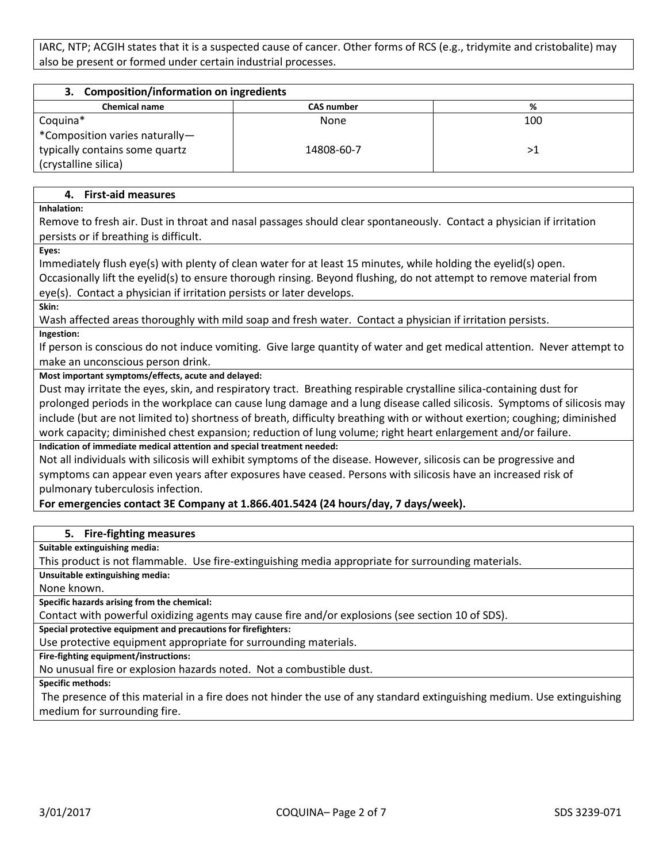IARC, NTP; ACGIH states that it is a suspected cause of cancer. Other forms of RCS (e.g., tridymite and cristobalite) may also be present or formed under certain industrial processes.

| <b>Composition/information on ingredients</b><br>З. |                   |     |
|-----------------------------------------------------|-------------------|-----|
| <b>Chemical name</b>                                | <b>CAS number</b> | %   |
| Coquina*                                            | None              | 100 |
| *Composition varies naturally-                      |                   |     |
| typically contains some quartz                      | 14808-60-7        | ⋗   |
| (crystalline silica)                                |                   |     |

# **4. First-aid measures**

**Inhalation:**

Remove to fresh air. Dust in throat and nasal passages should clear spontaneously. Contact a physician if irritation persists or if breathing is difficult.

**Eyes:**

Immediately flush eye(s) with plenty of clean water for at least 15 minutes, while holding the eyelid(s) open. Occasionally lift the eyelid(s) to ensure thorough rinsing. Beyond flushing, do not attempt to remove material from eye(s). Contact a physician if irritation persists or later develops. **Skin:**

Wash affected areas thoroughly with mild soap and fresh water. Contact a physician if irritation persists.

**Ingestion:**

If person is conscious do not induce vomiting. Give large quantity of water and get medical attention. Never attempt to make an unconscious person drink.

#### **Most important symptoms/effects, acute and delayed:**

Dust may irritate the eyes, skin, and respiratory tract. Breathing respirable crystalline silica-containing dust for prolonged periods in the workplace can cause lung damage and a lung disease called silicosis. Symptoms of silicosis may include (but are not limited to) shortness of breath, difficulty breathing with or without exertion; coughing; diminished work capacity; diminished chest expansion; reduction of lung volume; right heart enlargement and/or failure. **Indication of immediate medical attention and special treatment needed:**

Not all individuals with silicosis will exhibit symptoms of the disease. However, silicosis can be progressive and symptoms can appear even years after exposures have ceased. Persons with silicosis have an increased risk of pulmonary tuberculosis infection.

#### **For emergencies contact 3E Company at 1.866.401.5424 (24 hours/day, 7 days/week).**

#### **5. Fire-fighting measures**

**Suitable extinguishing media:**

This product is not flammable. Use fire-extinguishing media appropriate for surrounding materials.

**Unsuitable extinguishing media:**

None known.

**Specific hazards arising from the chemical:**

Contact with powerful oxidizing agents may cause fire and/or explosions (see section 10 of SDS).

**Special protective equipment and precautions for firefighters:**

Use protective equipment appropriate for surrounding materials.

**Fire-fighting equipment/instructions:**

No unusual fire or explosion hazards noted. Not a combustible dust.

**Specific methods:**

The presence of this material in a fire does not hinder the use of any standard extinguishing medium. Use extinguishing medium for surrounding fire.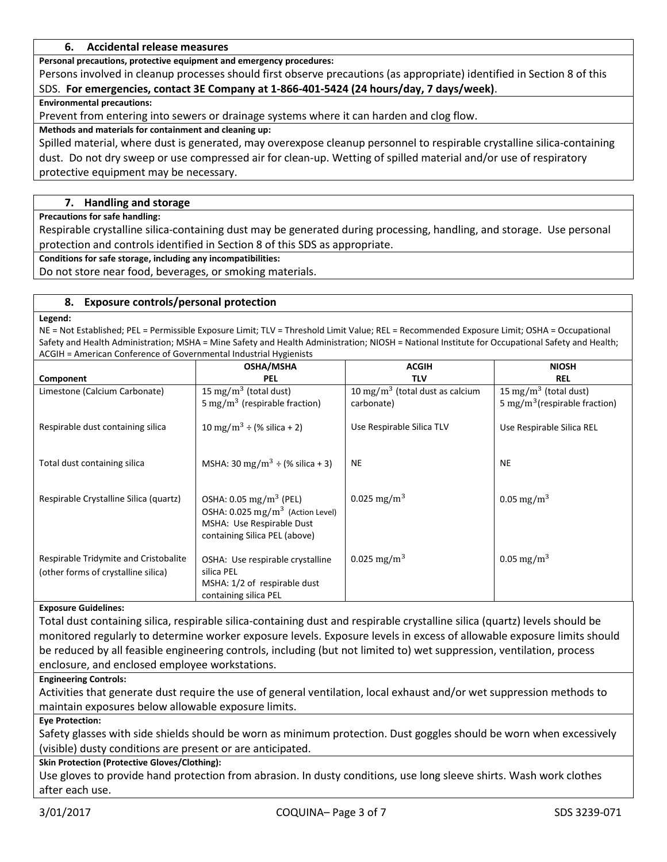# **6. Accidental release measures**

**Personal precautions, protective equipment and emergency procedures:**

Persons involved in cleanup processes should first observe precautions (as appropriate) identified in Section 8 of this SDS. **For emergencies, contact 3E Company at 1-866-401-5424 (24 hours/day, 7 days/week)**.

**Environmental precautions:**

Prevent from entering into sewers or drainage systems where it can harden and clog flow.

#### **Methods and materials for containment and cleaning up:**

Spilled material, where dust is generated, may overexpose cleanup personnel to respirable crystalline silica-containing dust. Do not dry sweep or use compressed air for clean-up. Wetting of spilled material and/or use of respiratory protective equipment may be necessary.

# **7. Handling and storage**

**Precautions for safe handling:**

Respirable crystalline silica-containing dust may be generated during processing, handling, and storage. Use personal protection and controls identified in Section 8 of this SDS as appropriate.

**Conditions for safe storage, including any incompatibilities:**

Do not store near food, beverages, or smoking materials.

#### **8. Exposure controls/personal protection**

**Legend:**

NE = Not Established; PEL = Permissible Exposure Limit; TLV = Threshold Limit Value; REL = Recommended Exposure Limit; OSHA = Occupational Safety and Health Administration; MSHA = Mine Safety and Health Administration; NIOSH = National Institute for Occupational Safety and Health; ACGIH = American Conference of Governmental Industrial Hygienists

|                                                                              | <b>OSHA/MSHA</b>                                                                                                                                | <b>ACGIH</b>                                | <b>NIOSH</b>                              |
|------------------------------------------------------------------------------|-------------------------------------------------------------------------------------------------------------------------------------------------|---------------------------------------------|-------------------------------------------|
| Component                                                                    | PEL                                                                                                                                             | <b>TLV</b>                                  | <b>REL</b>                                |
| Limestone (Calcium Carbonate)                                                | 15 mg/m <sup>3</sup> (total dust)                                                                                                               | 10 mg/m <sup>3</sup> (total dust as calcium | 15 mg/m <sup>3</sup> (total dust)         |
|                                                                              | 5 mg/m <sup>3</sup> (respirable fraction)                                                                                                       | carbonate)                                  | 5 mg/m <sup>3</sup> (respirable fraction) |
| Respirable dust containing silica                                            | 10 mg/m <sup>3</sup> ÷ (% silica + 2)                                                                                                           | Use Respirable Silica TLV                   | Use Respirable Silica REL                 |
| Total dust containing silica                                                 | MSHA: 30 mg/m <sup>3</sup> $\div$ (% silica + 3)                                                                                                | <b>NE</b>                                   | <b>NE</b>                                 |
| Respirable Crystalline Silica (quartz)                                       | OSHA: $0.05 \text{ mg/m}^3$ (PEL)<br>OSHA: 0.025 mg/m <sup>3</sup> (Action Level)<br>MSHA: Use Respirable Dust<br>containing Silica PEL (above) | 0.025 mg/m <sup>3</sup>                     | 0.05 mg/m <sup>3</sup>                    |
| Respirable Tridymite and Cristobalite<br>(other forms of crystalline silica) | OSHA: Use respirable crystalline<br>silica PEL<br>MSHA: 1/2 of respirable dust<br>containing silica PEL                                         | 0.025 mg/m <sup>3</sup>                     | 0.05 mg/m <sup>3</sup>                    |

#### **Exposure Guidelines:**

Total dust containing silica, respirable silica-containing dust and respirable crystalline silica (quartz) levels should be monitored regularly to determine worker exposure levels. Exposure levels in excess of allowable exposure limits should be reduced by all feasible engineering controls, including (but not limited to) wet suppression, ventilation, process enclosure, and enclosed employee workstations.

#### **Engineering Controls:**

Activities that generate dust require the use of general ventilation, local exhaust and/or wet suppression methods to maintain exposures below allowable exposure limits.

#### **Eye Protection:**

Safety glasses with side shields should be worn as minimum protection. Dust goggles should be worn when excessively (visible) dusty conditions are present or are anticipated.

#### **Skin Protection (Protective Gloves/Clothing):**

Use gloves to provide hand protection from abrasion. In dusty conditions, use long sleeve shirts. Wash work clothes after each use.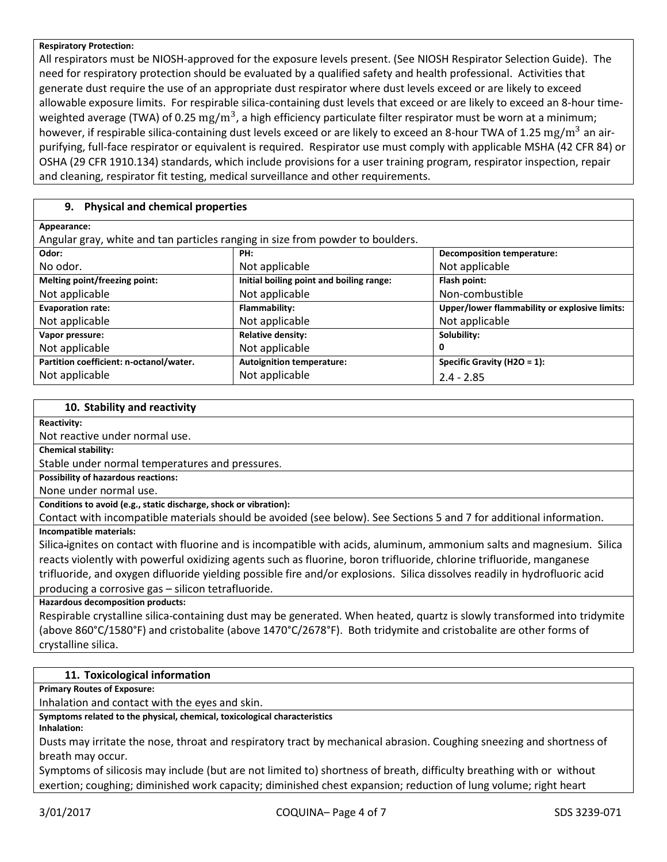#### **Respiratory Protection:**

All respirators must be NIOSH-approved for the exposure levels present. (See NIOSH Respirator Selection Guide). The need for respiratory protection should be evaluated by a qualified safety and health professional. Activities that generate dust require the use of an appropriate dust respirator where dust levels exceed or are likely to exceed allowable exposure limits. For respirable silica-containing dust levels that exceed or are likely to exceed an 8-hour timeweighted average (TWA) of 0.25  $\rm mg/m^3$ , a high efficiency particulate filter respirator must be worn at a minimum; however, if respirable silica-containing dust levels exceed or are likely to exceed an 8-hour TWA of 1.25  $\rm mg/m^3$  an airpurifying, full-face respirator or equivalent is required. Respirator use must comply with applicable MSHA (42 CFR 84) or OSHA (29 CFR 1910.134) standards, which include provisions for a user training program, respirator inspection, repair and cleaning, respirator fit testing, medical surveillance and other requirements.

# **9. Physical and chemical properties**

| Appearance:                                                                    |                                          |                                               |  |  |
|--------------------------------------------------------------------------------|------------------------------------------|-----------------------------------------------|--|--|
| Angular gray, white and tan particles ranging in size from powder to boulders. |                                          |                                               |  |  |
| Odor:                                                                          | PH:                                      | <b>Decomposition temperature:</b>             |  |  |
| No odor.                                                                       | Not applicable                           | Not applicable                                |  |  |
| Melting point/freezing point:                                                  | Initial boiling point and boiling range: | Flash point:                                  |  |  |
| Not applicable                                                                 | Not applicable                           | Non-combustible                               |  |  |
| <b>Evaporation rate:</b>                                                       | Flammability:                            | Upper/lower flammability or explosive limits: |  |  |
| Not applicable                                                                 | Not applicable                           | Not applicable                                |  |  |
| Vapor pressure:                                                                | <b>Relative density:</b>                 | Solubility:                                   |  |  |
| Not applicable                                                                 | Not applicable                           | 0                                             |  |  |
| Partition coefficient: n-octanol/water.                                        | <b>Autoignition temperature:</b>         | Specific Gravity (H2O = 1):                   |  |  |
| Not applicable                                                                 | Not applicable                           | $2.4 - 2.85$                                  |  |  |

#### **10. Stability and reactivity**

#### **Reactivity:**

Not reactive under normal use.

**Chemical stability:**

Stable under normal temperatures and pressures.

**Possibility of hazardous reactions:**

None under normal use.

**Conditions to avoid (e.g., static discharge, shock or vibration):**

Contact with incompatible materials should be avoided (see below). See Sections 5 and 7 for additional information. **Incompatible materials:**

Silica ignites on contact with fluorine and is incompatible with acids, aluminum, ammonium salts and magnesium. Silica reacts violently with powerful oxidizing agents such as fluorine, boron trifluoride, chlorine trifluoride, manganese trifluoride, and oxygen difluoride yielding possible fire and/or explosions. Silica dissolves readily in hydrofluoric acid producing a corrosive gas – silicon tetrafluoride.

**Hazardous decomposition products:**

Respirable crystalline silica-containing dust may be generated. When heated, quartz is slowly transformed into tridymite (above 860°C/1580°F) and cristobalite (above 1470°C/2678°F). Both tridymite and cristobalite are other forms of crystalline silica.

# **11. Toxicological information**

**Primary Routes of Exposure:**

Inhalation and contact with the eyes and skin.

**Symptoms related to the physical, chemical, toxicological characteristics**

**Inhalation:**

Dusts may irritate the nose, throat and respiratory tract by mechanical abrasion. Coughing sneezing and shortness of breath may occur.

Symptoms of silicosis may include (but are not limited to) shortness of breath, difficulty breathing with or without exertion; coughing; diminished work capacity; diminished chest expansion; reduction of lung volume; right heart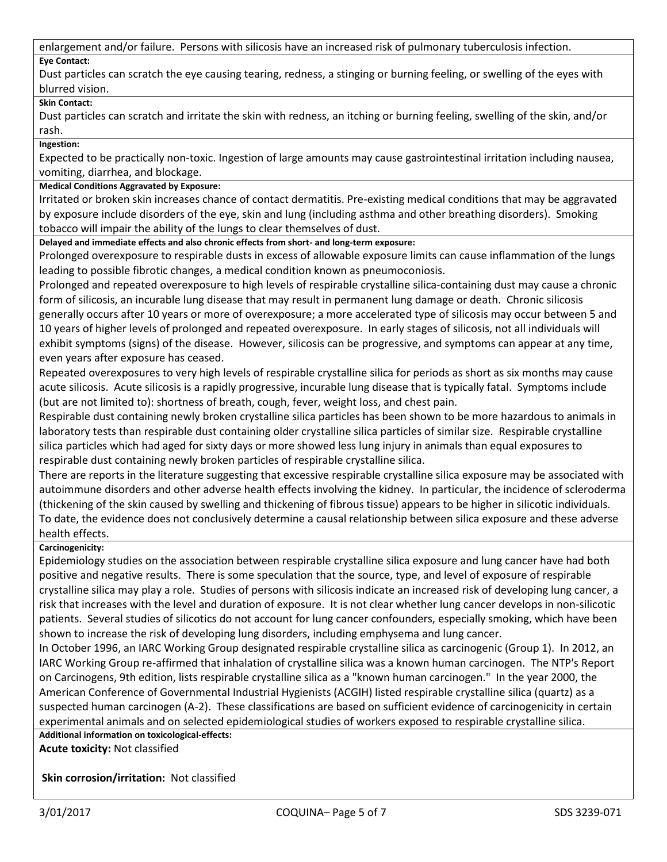enlargement and/or failure. Persons with silicosis have an increased risk of pulmonary tuberculosis infection.

# **Eye Contact:**

Dust particles can scratch the eye causing tearing, redness, a stinging or burning feeling, or swelling of the eyes with blurred vision.

# **Skin Contact:**

Dust particles can scratch and irritate the skin with redness, an itching or burning feeling, swelling of the skin, and/or rash.

**Ingestion:**

Expected to be practically non-toxic. Ingestion of large amounts may cause gastrointestinal irritation including nausea, vomiting, diarrhea, and blockage.

# **Medical Conditions Aggravated by Exposure:**

Irritated or broken skin increases chance of contact dermatitis. Pre-existing medical conditions that may be aggravated by exposure include disorders of the eye, skin and lung (including asthma and other breathing disorders). Smoking tobacco will impair the ability of the lungs to clear themselves of dust.

**Delayed and immediate effects and also chronic effects from short- and long-term exposure:**

Prolonged overexposure to respirable dusts in excess of allowable exposure limits can cause inflammation of the lungs leading to possible fibrotic changes, a medical condition known as pneumoconiosis.

Prolonged and repeated overexposure to high levels of respirable crystalline silica-containing dust may cause a chronic form of silicosis, an incurable lung disease that may result in permanent lung damage or death. Chronic silicosis generally occurs after 10 years or more of overexposure; a more accelerated type of silicosis may occur between 5 and 10 years of higher levels of prolonged and repeated overexposure. In early stages of silicosis, not all individuals will exhibit symptoms (signs) of the disease. However, silicosis can be progressive, and symptoms can appear at any time, even years after exposure has ceased.

Repeated overexposures to very high levels of respirable crystalline silica for periods as short as six months may cause acute silicosis. Acute silicosis is a rapidly progressive, incurable lung disease that is typically fatal. Symptoms include (but are not limited to): shortness of breath, cough, fever, weight loss, and chest pain.

Respirable dust containing newly broken crystalline silica particles has been shown to be more hazardous to animals in laboratory tests than respirable dust containing older crystalline silica particles of similar size. Respirable crystalline silica particles which had aged for sixty days or more showed less lung injury in animals than equal exposures to respirable dust containing newly broken particles of respirable crystalline silica.

There are reports in the literature suggesting that excessive respirable crystalline silica exposure may be associated with autoimmune disorders and other adverse health effects involving the kidney. In particular, the incidence of scleroderma (thickening of the skin caused by swelling and thickening of fibrous tissue) appears to be higher in silicotic individuals. To date, the evidence does not conclusively determine a causal relationship between silica exposure and these adverse health effects.

# **Carcinogenicity:**

Epidemiology studies on the association between respirable crystalline silica exposure and lung cancer have had both positive and negative results. There is some speculation that the source, type, and level of exposure of respirable crystalline silica may play a role. Studies of persons with silicosis indicate an increased risk of developing lung cancer, a risk that increases with the level and duration of exposure. It is not clear whether lung cancer develops in non-silicotic patients. Several studies of silicotics do not account for lung cancer confounders, especially smoking, which have been shown to increase the risk of developing lung disorders, including emphysema and lung cancer.

In October 1996, an IARC Working Group designated respirable crystalline silica as carcinogenic (Group 1). In 2012, an IARC Working Group re-affirmed that inhalation of crystalline silica was a known human carcinogen. The NTP's Report on Carcinogens, 9th edition, lists respirable crystalline silica as a "known human carcinogen." In the year 2000, the American Conference of Governmental Industrial Hygienists (ACGIH) listed respirable crystalline silica (quartz) as a suspected human carcinogen (A-2). These classifications are based on sufficient evidence of carcinogenicity in certain experimental animals and on selected epidemiological studies of workers exposed to respirable crystalline silica.

**Additional information on toxicological-effects: Acute toxicity:** Not classified

**Skin corrosion/irritation:** Not classified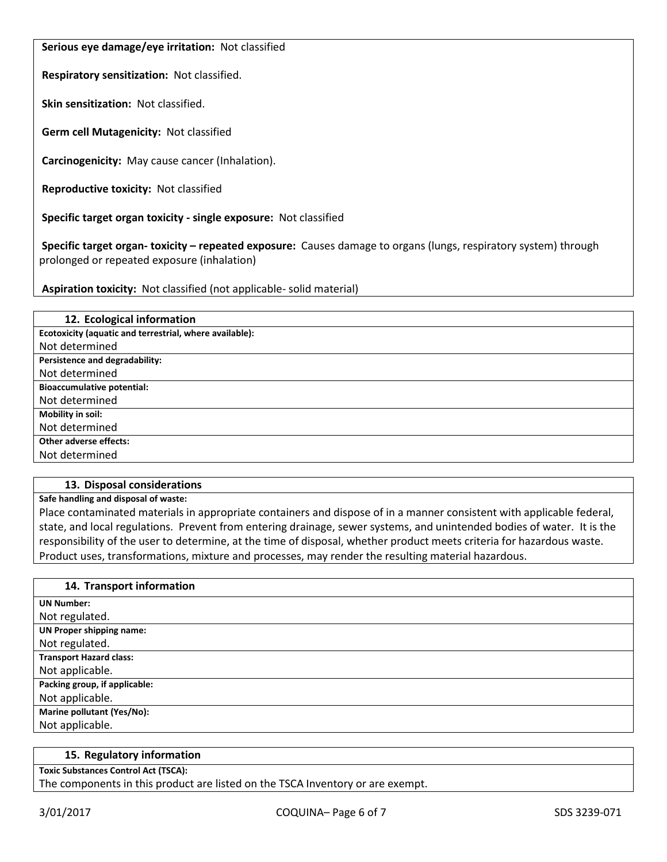**Serious eye damage/eye irritation:** Not classified

**Respiratory sensitization:** Not classified.

**Skin sensitization:** Not classified.

**Germ cell Mutagenicity:** Not classified

**Carcinogenicity:** May cause cancer (Inhalation).

**Reproductive toxicity:** Not classified

**Specific target organ toxicity - single exposure:** Not classified

**Specific target organ- toxicity – repeated exposure:** Causes damage to organs (lungs, respiratory system) through prolonged or repeated exposure (inhalation)

**Aspiration toxicity:** Not classified (not applicable- solid material)

| 12. Ecological information                              |
|---------------------------------------------------------|
| Ecotoxicity (aquatic and terrestrial, where available): |
| Not determined                                          |
| Persistence and degradability:                          |
| Not determined                                          |
| <b>Bioaccumulative potential:</b>                       |
| Not determined                                          |
| Mobility in soil:                                       |
| Not determined                                          |
| Other adverse effects:                                  |
| Not determined                                          |

# **13. Disposal considerations**

**Safe handling and disposal of waste:**

Place contaminated materials in appropriate containers and dispose of in a manner consistent with applicable federal, state, and local regulations. Prevent from entering drainage, sewer systems, and unintended bodies of water. It is the responsibility of the user to determine, at the time of disposal, whether product meets criteria for hazardous waste. Product uses, transformations, mixture and processes, may render the resulting material hazardous.

| 14. Transport information      |
|--------------------------------|
| <b>UN Number:</b>              |
| Not regulated.                 |
| UN Proper shipping name:       |
| Not regulated.                 |
| <b>Transport Hazard class:</b> |
| Not applicable.                |
| Packing group, if applicable:  |
| Not applicable.                |
| Marine pollutant (Yes/No):     |
| Not applicable.                |
|                                |

#### **15. Regulatory information**

**Toxic Substances Control Act (TSCA):**

The components in this product are listed on the TSCA Inventory or are exempt.